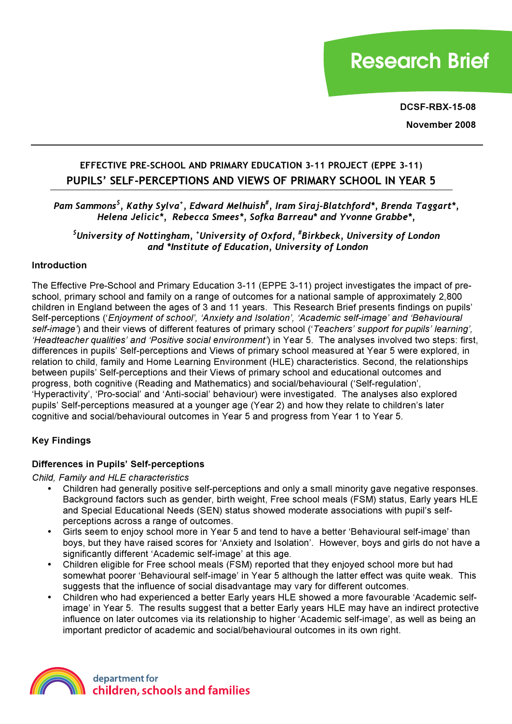# **Research Brief**

**DCSF-RBX-15-08**

**November 2008**

# **EFFECTIVE PRE-SCHOOL AND PRIMARY EDUCATION 3-11 PROJECT (EPPE 3-11) PUPILS' SELF-PERCEPTIONS AND VIEWS OF PRIMARY SCHOOL IN YEAR 5**

# *Pam Sammons\$ , Kathy Sylva<sup>+</sup> , Edward Melhuish# , Iram Siraj-Blatchford\*, Brenda Taggart\*, Helena Jelicic\*, Rebecca Smees\*, Sofka Barreau\* and Yvonne Grabbe\*,*

*\$ University of Nottingham, <sup>+</sup> University of Oxford, # Birkbeck, University of London and \*Institute of Education, University of London*

#### **Introduction**

The Effective Pre-School and Primary Education 3-11 (EPPE 3-11) project investigates the impact of preschool, primary school and family on a range of outcomes for a national sample of approximately 2,800 children in England between the ages of 3 and 11 years. This Research Brief presents findings on pupils' Self-perceptions ('*Enjoyment of school', 'Anxiety and Isolation', 'Academic self-image' and 'Behavioural self-image'*) and their views of different features of primary school ('*Teachers' support for pupils' learning', 'Headteacher qualities' and 'Positive social environment'*) in Year 5. The analyses involved two steps: first, differences in pupils' Self-perceptions and Views of primary school measured at Year 5 were explored, in relation to child, family and Home Learning Environment (HLE) characteristics. Second, the relationships between pupils' Self-perceptions and their Views of primary school and educational outcomes and progress, both cognitive (Reading and Mathematics) and social/behavioural ('Self-regulation', 'Hyperactivity', 'Pro-social' and 'Anti-social' behaviour) were investigated. The analyses also explored pupils' Self-perceptions measured at a younger age (Year 2) and how they relate to children's later cognitive and social/behavioural outcomes in Year 5 and progress from Year 1 to Year 5.

# **Key Findings**

#### **Differences in Pupils' Self-perceptions**

*Child, Family and HLE characteristics*

- Children had generally positive self-perceptions and only a small minority gave negative responses. Background factors such as gender, birth weight, Free school meals (FSM) status, Early years HLE and Special Educational Needs (SEN) status showed moderate associations with pupil's selfperceptions across a range of outcomes.
- Girls seem to enjoy school more in Year 5 and tend to have a better 'Behavioural self-image' than boys, but they have raised scores for 'Anxiety and Isolation'. However, boys and girls do not have a significantly different 'Academic self-image' at this age.
- Children eligible for Free school meals (FSM) reported that they enjoyed school more but had somewhat poorer 'Behavioural self-image' in Year 5 although the latter effect was quite weak. This suggests that the influence of social disadvantage may vary for different outcomes.
- Children who had experienced a better Early years HLE showed a more favourable 'Academic selfimage' in Year 5. The results suggest that a better Early years HLE may have an indirect protective influence on later outcomes via its relationship to higher 'Academic self-image', as well as being an important predictor of academic and social/behavioural outcomes in its own right.

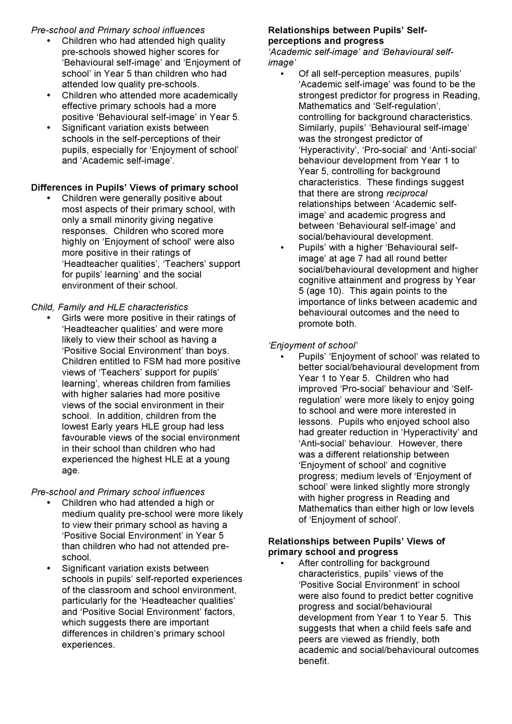### *Pre-school and Primary school influences*

- Children who had attended high quality pre-schools showed higher scores for 'Behavioural self-image' and 'Enjoyment of school' in Year 5 than children who had attended low quality pre-schools.
- Children who attended more academically effective primary schools had a more positive 'Behavioural self-image' in Year 5.
- Significant variation exists between schools in the self-perceptions of their pupils, especially for 'Enjoyment of school' and 'Academic self-image'.

# **Differences in Pupils' Views of primary school**

• Children were generally positive about most aspects of their primary school, with only a small minority giving negative responses. Children who scored more highly on 'Enjoyment of school' were also more positive in their ratings of 'Headteacher qualities', 'Teachers' support for pupils' learning' and the social environment of their school.

# *Child, Family and HLE characteristics*

• Girls were more positive in their ratings of 'Headteacher qualities' and were more likely to view their school as having a 'Positive Social Environment' than boys. Children entitled to FSM had more positive views of 'Teachers' support for pupils' learning', whereas children from families with higher salaries had more positive views of the social environment in their school. In addition, children from the lowest Early years HLE group had less favourable views of the social environment in their school than children who had experienced the highest HLE at a young age.

#### *Pre-school and Primary school influences*

- Children who had attended a high or medium quality pre-school were more likely to view their primary school as having a 'Positive Social Environment' in Year 5 than children who had not attended preschool.
- Significant variation exists between schools in pupils' self-reported experiences of the classroom and school environment, particularly for the 'Headteacher qualities' and 'Positive Social Environment' factors, which suggests there are important differences in children's primary school experiences.

# **Relationships between Pupils' Selfperceptions and progress**

*'Academic self-image' and 'Behavioural selfimage'*

- Of all self-perception measures, pupils' 'Academic self-image' was found to be the strongest predictor for progress in Reading, Mathematics and 'Self-regulation', controlling for background characteristics. Similarly, pupils' 'Behavioural self-image' was the strongest predictor of 'Hyperactivity', 'Pro-social' and 'Anti-social' behaviour development from Year 1 to Year 5, controlling for background characteristics. These findings suggest that there are strong *reciprocal* relationships between 'Academic selfimage' and academic progress and between 'Behavioural self-image' and social/behavioural development.
- Pupils' with a higher 'Behavioural selfimage' at age 7 had all round better social/behavioural development and higher cognitive attainment and progress by Year 5 (age 10). This again points to the importance of links between academic and behavioural outcomes and the need to promote both.

# *'Enjoyment of school'*

• Pupils' 'Enjoyment of school' was related to better social/behavioural development from Year 1 to Year 5. Children who had improved 'Pro-social' behaviour and 'Selfregulation' were more likely to enjoy going to school and were more interested in lessons. Pupils who enjoyed school also had greater reduction in 'Hyperactivity' and 'Anti-social' behaviour. However, there was a different relationship between 'Enjoyment of school' and cognitive progress; medium levels of 'Enjoyment of school' were linked slightly more strongly with higher progress in Reading and Mathematics than either high or low levels of 'Enjoyment of school'.

#### **Relationships between Pupils' Views of primary school and progress**

After controlling for background characteristics, pupils' views of the 'Positive Social Environment' in school were also found to predict better cognitive progress and social/behavioural development from Year 1 to Year 5. This suggests that when a child feels safe and peers are viewed as friendly, both academic and social/behavioural outcomes benefit.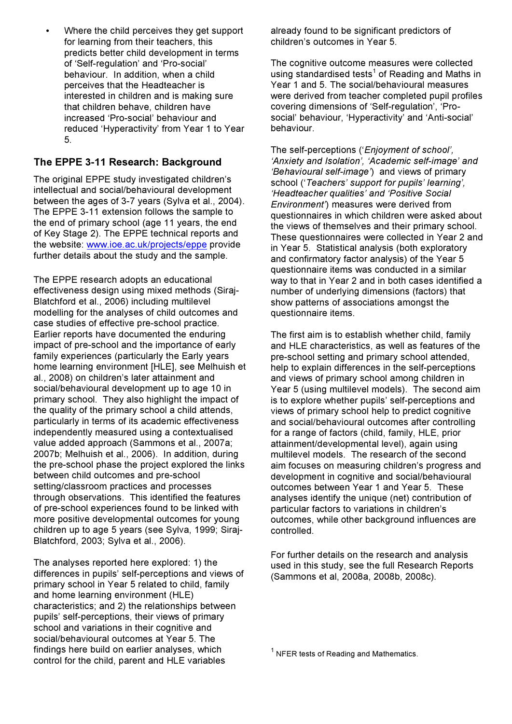Where the child perceives they get support for learning from their teachers, this predicts better child development in terms of 'Self-regulation' and 'Pro-social' behaviour. In addition, when a child perceives that the Headteacher is interested in children and is making sure that children behave, children have increased 'Pro-social' behaviour and reduced 'Hyperactivity' from Year 1 to Year 5.

# **The EPPE 3-11 Research: Background**

The original EPPE study investigated children's intellectual and social/behavioural development between the ages of 3-7 years (Sylva et al., 2004). The EPPE 3-11 extension follows the sample to the end of primary school (age 11 years, the end of Key Stage 2). The EPPE technical reports and the website: www.ioe.ac.uk/projects/eppe provide further details about the study and the sample.

The EPPE research adopts an educational effectiveness design using mixed methods (Siraj-Blatchford et al., 2006) including multilevel modelling for the analyses of child outcomes and case studies of effective pre-school practice. Earlier reports have documented the enduring impact of pre-school and the importance of early family experiences (particularly the Early years home learning environment [HLE], see Melhuish et al., 2008) on children's later attainment and social/behavioural development up to age 10 in primary school. They also highlight the impact of the quality of the primary school a child attends, particularly in terms of its academic effectiveness independently measured using a contextualised value added approach (Sammons et al., 2007a; 2007b; Melhuish et al., 2006). In addition, during the pre-school phase the project explored the links between child outcomes and pre-school setting/classroom practices and processes through observations. This identified the features of pre-school experiences found to be linked with more positive developmental outcomes for young children up to age 5 years (see Sylva, 1999; Siraj-Blatchford, 2003; Sylva et al., 2006).

The analyses reported here explored: 1) the differences in pupils' self-perceptions and views of primary school in Year 5 related to child, family and home learning environment (HLE) characteristics; and 2) the relationships between pupils' self-perceptions, their views of primary school and variations in their cognitive and social/behavioural outcomes at Year 5. The findings here build on earlier analyses, which control for the child, parent and HLE variables

already found to be significant predictors of children's outcomes in Year 5.

The cognitive outcome measures were collected using standardised tests<sup>1</sup> of Reading and Maths in Year 1 and 5. The social/behavioural measures were derived from teacher completed pupil profiles covering dimensions of 'Self-regulation', 'Prosocial' behaviour, 'Hyperactivity' and 'Anti-social' behaviour.

The self-perceptions ('*Enjoyment of school', 'Anxiety and Isolation', 'Academic self-image' and 'Behavioural self-image'*) and views of primary school ('*Teachers' support for pupils' learning', 'Headteacher qualities' and 'Positive Social Environment'*) measures were derived from questionnaires in which children were asked about the views of themselves and their primary school. These questionnaires were collected in Year 2 and in Year 5. Statistical analysis (both exploratory and confirmatory factor analysis) of the Year 5 questionnaire items was conducted in a similar way to that in Year 2 and in both cases identified a number of underlying dimensions (factors) that show patterns of associations amongst the questionnaire items.

The first aim is to establish whether child, family and HLE characteristics, as well as features of the pre-school setting and primary school attended, help to explain differences in the self-perceptions and views of primary school among children in Year 5 (using multilevel models). The second aim is to explore whether pupils' self-perceptions and views of primary school help to predict cognitive and social/behavioural outcomes after controlling for a range of factors (child, family, HLE, prior attainment/developmental level), again using multilevel models. The research of the second aim focuses on measuring children's progress and development in cognitive and social/behavioural outcomes between Year 1 and Year 5. These analyses identify the unique (net) contribution of particular factors to variations in children's outcomes, while other background influences are controlled.

For further details on the research and analysis used in this study, see the full Research Reports (Sammons et al, 2008a, 2008b, 2008c).

 $1$  NFER tests of Reading and Mathematics.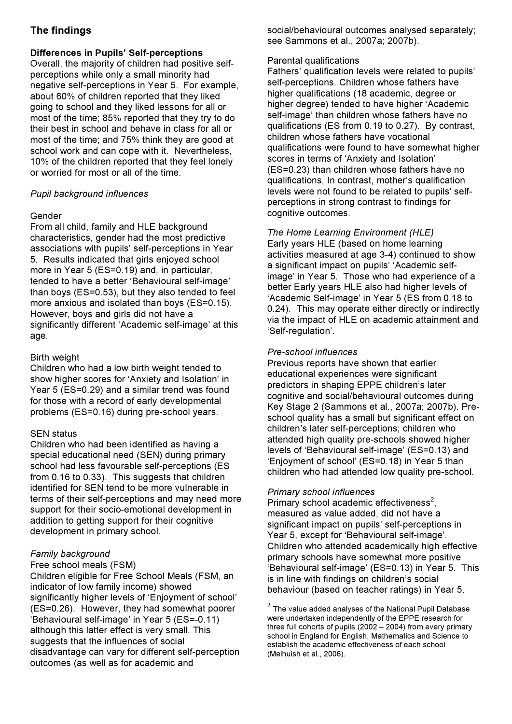# **The findings**

#### **Differences in Pupils' Self-perceptions**

Overall, the majority of children had positive selfperceptions while only a small minority had negative self-perceptions in Year 5. For example, about 60% of children reported that they liked going to school and they liked lessons for all or most of the time; 85% reported that they try to do their best in school and behave in class for all or most of the time; and 75% think they are good at school work and can cope with it. Nevertheless, 10% of the children reported that they feel lonely or worried for most or all of the time.

#### *Pupil background influences*

# Gender

From all child, family and HLE background characteristics, gender had the most predictive associations with pupils' self-perceptions in Year 5. Results indicated that girls enjoyed school more in Year 5 (ES=0.19) and, in particular, tended to have a better 'Behavioural self-image' than boys (ES=0.53), but they also tended to feel more anxious and isolated than boys (ES=0.15). However, boys and girls did not have a significantly different 'Academic self-image' at this age.

# Birth weight

Children who had a low birth weight tended to show higher scores for 'Anxiety and Isolation' in Year 5 (ES=0.29) and a similar trend was found for those with a record of early developmental problems (ES=0.16) during pre-school years.

#### SEN status

Children who had been identified as having a special educational need (SEN) during primary school had less favourable self-perceptions (ES from 0.16 to 0.33). This suggests that children identified for SEN tend to be more vulnerable in terms of their self-perceptions and may need more support for their socio-emotional development in addition to getting support for their cognitive development in primary school.

#### *Family background*

#### Free school meals (FSM)

Children eligible for Free School Meals (FSM, an indicator of low family income) showed significantly higher levels of 'Enjoyment of school' (ES=0.26). However, they had somewhat poorer 'Behavioural self-image' in Year 5 (ES=-0.11) although this latter effect is very small. This suggests that the influences of social disadvantage can vary for different self-perception outcomes (as well as for academic and

social/behavioural outcomes analysed separately; see Sammons et al., 2007a; 2007b).

#### Parental qualifications

Fathers' qualification levels were related to pupils' self-perceptions. Children whose fathers have higher qualifications (18 academic, degree or higher degree) tended to have higher 'Academic self-image' than children whose fathers have no qualifications (ES from 0.19 to 0.27). By contrast, children whose fathers have vocational qualifications were found to have somewhat higher scores in terms of 'Anxiety and Isolation' (ES=0.23) than children whose fathers have no qualifications. In contrast, mother's qualification levels were not found to be related to pupils' selfperceptions in strong contrast to findings for cognitive outcomes.

# *The Home Learning Environment (HLE)*

Early years HLE (based on home learning activities measured at age 3-4) continued to show a significant impact on pupils' 'Academic selfimage' in Year 5. Those who had experience of a better Early years HLE also had higher levels of 'Academic Self-image' in Year 5 (ES from 0.18 to 0.24). This may operate either directly or indirectly via the impact of HLE on academic attainment and 'Self-regulation'.

#### *Pre-school influences*

Previous reports have shown that earlier educational experiences were significant predictors in shaping EPPE children's later cognitive and social/behavioural outcomes during Key Stage 2 (Sammons et al., 2007a; 2007b). Preschool quality has a small but significant effect on children's later self-perceptions; children who attended high quality pre-schools showed higher levels of 'Behavioural self-image' (ES=0.13) and 'Enjoyment of school' (ES=0.18) in Year 5 than children who had attended low quality pre-school.

#### *Primary school influences*

Primary school academic effectiveness<sup>2</sup>, measured as value added, did not have a significant impact on pupils' self-perceptions in Year 5, except for 'Behavioural self-image'. Children who attended academically high effective primary schools have somewhat more positive 'Behavioural self-image' (ES=0.13) in Year 5. This is in line with findings on children's social behaviour (based on teacher ratings) in Year 5.

 $2$  The value added analyses of the National Pupil Database were undertaken independently of the EPPE research for three full cohorts of pupils (2002 – 2004) from every primary school in England for English, Mathematics and Science to establish the academic effectiveness of each school (Melhuish et al., 2006).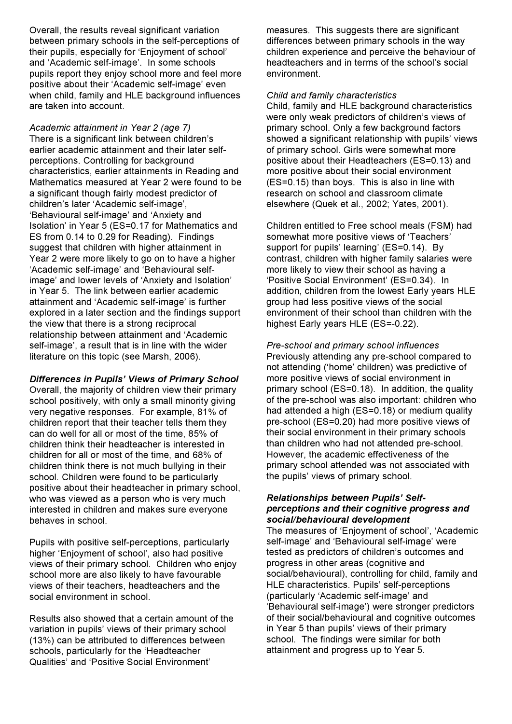Overall, the results reveal significant variation between primary schools in the self-perceptions of their pupils, especially for 'Enjoyment of school' and 'Academic self-image'. In some schools pupils report they enjoy school more and feel more positive about their 'Academic self-image' even when child, family and HLE background influences are taken into account.

*Academic attainment in Year 2 (age 7)* There is a significant link between children's earlier academic attainment and their later selfperceptions. Controlling for background characteristics, earlier attainments in Reading and Mathematics measured at Year 2 were found to be a significant though fairly modest predictor of children's later 'Academic self-image', 'Behavioural self-image' and 'Anxiety and Isolation' in Year 5 (ES=0.17 for Mathematics and ES from 0.14 to 0.29 for Reading). Findings suggest that children with higher attainment in Year 2 were more likely to go on to have a higher 'Academic self-image' and 'Behavioural selfimage' and lower levels of 'Anxiety and Isolation' in Year 5. The link between earlier academic attainment and 'Academic self-image' is further explored in a later section and the findings support the view that there is a strong reciprocal relationship between attainment and 'Academic self-image', a result that is in line with the wider literature on this topic (see Marsh, 2006).

#### *Differences in Pupils' Views of Primary School*

Overall, the majority of children view their primary school positively, with only a small minority giving very negative responses. For example, 81% of children report that their teacher tells them they can do well for all or most of the time, 85% of children think their headteacher is interested in children for all or most of the time, and 68% of children think there is not much bullying in their school. Children were found to be particularly positive about their headteacher in primary school, who was viewed as a person who is very much interested in children and makes sure everyone behaves in school.

Pupils with positive self-perceptions, particularly higher 'Enjoyment of school', also had positive views of their primary school. Children who enjoy school more are also likely to have favourable views of their teachers, headteachers and the social environment in school.

Results also showed that a certain amount of the variation in pupils' views of their primary school (13%) can be attributed to differences between schools, particularly for the 'Headteacher Qualities' and 'Positive Social Environment'

measures. This suggests there are significant differences between primary schools in the way children experience and perceive the behaviour of headteachers and in terms of the school's social environment.

#### *Child and family characteristics*

Child, family and HLE background characteristics were only weak predictors of children's views of primary school. Only a few background factors showed a significant relationship with pupils' views of primary school. Girls were somewhat more positive about their Headteachers (ES=0.13) and more positive about their social environment (ES=0.15) than boys. This is also in line with research on school and classroom climate elsewhere (Quek et al., 2002; Yates, 2001).

Children entitled to Free school meals (FSM) had somewhat more positive views of 'Teachers' support for pupils' learning' (ES=0.14). By contrast, children with higher family salaries were more likely to view their school as having a 'Positive Social Environment' (ES=0.34). In addition, children from the lowest Early years HLE group had less positive views of the social environment of their school than children with the highest Early years HLE (ES=-0.22).

*Pre-school and primary school influences* Previously attending any pre-school compared to not attending ('home' children) was predictive of more positive views of social environment in primary school (ES=0.18). In addition, the quality of the pre-school was also important: children who had attended a high (ES=0.18) or medium quality pre-school (ES=0.20) had more positive views of their social environment in their primary schools than children who had not attended pre-school. However, the academic effectiveness of the primary school attended was not associated with the pupils' views of primary school.

#### *Relationships between Pupils' Selfperceptions and their cognitive progress and social/behavioural development*

The measures of 'Enjoyment of school', 'Academic self-image' and 'Behavioural self-image' were tested as predictors of children's outcomes and progress in other areas (cognitive and social/behavioural), controlling for child, family and HLE characteristics. Pupils' self-perceptions (particularly 'Academic self-image' and 'Behavioural self-image') were stronger predictors of their social/behavioural and cognitive outcomes in Year 5 than pupils' views of their primary school. The findings were similar for both attainment and progress up to Year 5.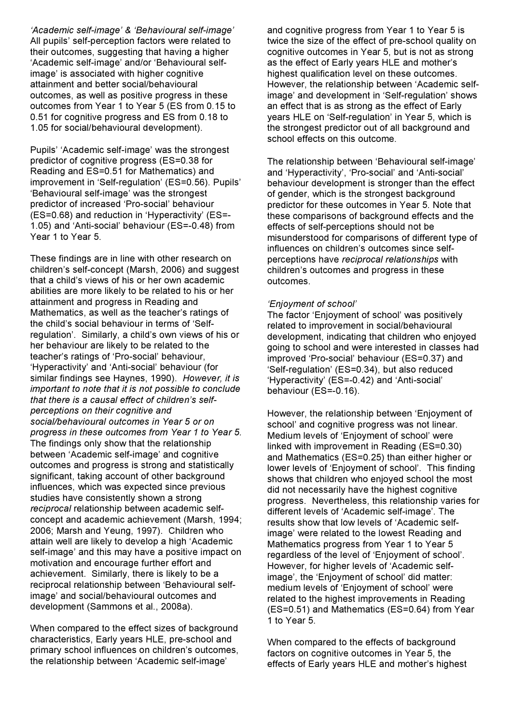*'Academic self-image' & 'Behavioural self-image'* All pupils' self-perception factors were related to their outcomes, suggesting that having a higher 'Academic self-image' and/or 'Behavioural selfimage' is associated with higher cognitive attainment and better social/behavioural outcomes, as well as positive progress in these outcomes from Year 1 to Year 5 (ES from 0.15 to 0.51 for cognitive progress and ES from 0.18 to 1.05 for social/behavioural development).

Pupils' 'Academic self-image' was the strongest predictor of cognitive progress (ES=0.38 for Reading and ES=0.51 for Mathematics) and improvement in 'Self-regulation' (ES=0.56). Pupils' 'Behavioural self-image' was the strongest predictor of increased 'Pro-social' behaviour (ES=0.68) and reduction in 'Hyperactivity' (ES=- 1.05) and 'Anti-social' behaviour (ES=-0.48) from Year 1 to Year 5.

These findings are in line with other research on children's self-concept (Marsh, 2006) and suggest that a child's views of his or her own academic abilities are more likely to be related to his or her attainment and progress in Reading and Mathematics, as well as the teacher's ratings of the child's social behaviour in terms of 'Selfregulation'. Similarly, a child's own views of his or her behaviour are likely to be related to the teacher's ratings of 'Pro-social' behaviour, 'Hyperactivity' and 'Anti-social' behaviour (for similar findings see Haynes, 1990). *However, it is important to note that it is not possible to conclude that there is a causal effect of children's selfperceptions on their cognitive and social/behavioural outcomes in Year 5 or on progress in these outcomes from Year 1 to Year 5.* The findings only show that the relationship between 'Academic self-image' and cognitive outcomes and progress is strong and statistically significant, taking account of other background influences, which was expected since previous studies have consistently shown a strong *reciprocal* relationship between academic selfconcept and academic achievement (Marsh, 1994; 2006; Marsh and Yeung, 1997). Children who attain well are likely to develop a high 'Academic self-image' and this may have a positive impact on motivation and encourage further effort and achievement. Similarly, there is likely to be a reciprocal relationship between 'Behavioural selfimage' and social/behavioural outcomes and development (Sammons et al., 2008a).

When compared to the effect sizes of background characteristics, Early years HLE, pre-school and primary school influences on children's outcomes, the relationship between 'Academic self-image'

and cognitive progress from Year 1 to Year 5 is twice the size of the effect of pre-school quality on cognitive outcomes in Year 5, but is not as strong as the effect of Early years HLE and mother's highest qualification level on these outcomes. However, the relationship between 'Academic selfimage' and development in 'Self-regulation' shows an effect that is as strong as the effect of Early years HLE on 'Self-regulation' in Year 5, which is the strongest predictor out of all background and school effects on this outcome.

The relationship between 'Behavioural self-image' and 'Hyperactivity', 'Pro-social' and 'Anti-social' behaviour development is stronger than the effect of gender, which is the strongest background predictor for these outcomes in Year 5. Note that these comparisons of background effects and the effects of self-perceptions should not be misunderstood for comparisons of different type of influences on children's outcomes since selfperceptions have *reciprocal relationships* with children's outcomes and progress in these outcomes.

#### *'Enjoyment of school'*

The factor 'Enjoyment of school' was positively related to improvement in social/behavioural development, indicating that children who enjoyed going to school and were interested in classes had improved 'Pro-social' behaviour (ES=0.37) and 'Self-regulation' (ES=0.34), but also reduced 'Hyperactivity' (ES=-0.42) and 'Anti-social' behaviour (ES=-0.16).

However, the relationship between 'Enjoyment of school' and cognitive progress was not linear. Medium levels of 'Enjoyment of school' were linked with improvement in Reading (ES=0.30) and Mathematics (ES=0.25) than either higher or lower levels of 'Enjoyment of school'. This finding shows that children who enjoyed school the most did not necessarily have the highest cognitive progress. Nevertheless, this relationship varies for different levels of 'Academic self-image'. The results show that low levels of 'Academic selfimage' were related to the lowest Reading and Mathematics progress from Year 1 to Year 5 regardless of the level of 'Enjoyment of school'. However, for higher levels of 'Academic selfimage', the 'Enjoyment of school' did matter: medium levels of 'Enjoyment of school' were related to the highest improvements in Reading (ES=0.51) and Mathematics (ES=0.64) from Year 1 to Year 5.

When compared to the effects of background factors on cognitive outcomes in Year 5, the effects of Early years HLE and mother's highest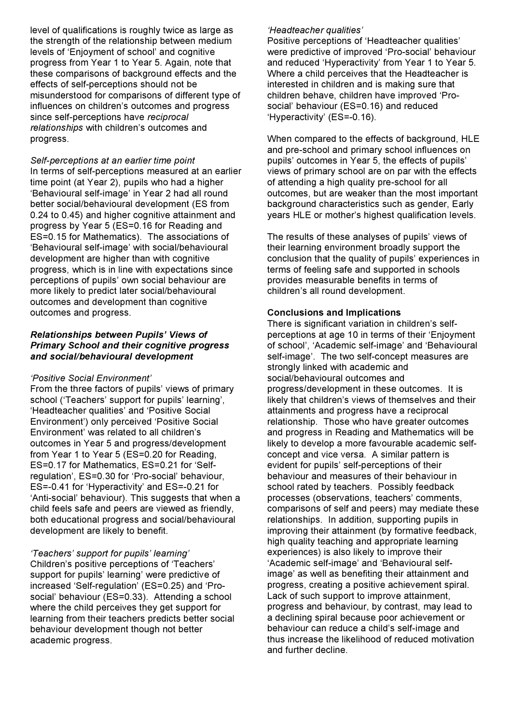level of qualifications is roughly twice as large as the strength of the relationship between medium levels of 'Enjoyment of school' and cognitive progress from Year 1 to Year 5. Again, note that these comparisons of background effects and the effects of self-perceptions should not be misunderstood for comparisons of different type of influences on children's outcomes and progress since self-perceptions have *reciprocal relationships* with children's outcomes and progress.

*Self-perceptions at an earlier time point* In terms of self-perceptions measured at an earlier time point (at Year 2), pupils who had a higher 'Behavioural self-image' in Year 2 had all round better social/behavioural development (ES from 0.24 to 0.45) and higher cognitive attainment and progress by Year 5 (ES=0.16 for Reading and ES=0.15 for Mathematics). The associations of 'Behavioural self-image' with social/behavioural development are higher than with cognitive progress, which is in line with expectations since perceptions of pupils' own social behaviour are more likely to predict later social/behavioural outcomes and development than cognitive outcomes and progress.

#### *Relationships between Pupils' Views of Primary School and their cognitive progress and social/behavioural development*

#### *'Positive Social Environment'*

From the three factors of pupils' views of primary school ('Teachers' support for pupils' learning', 'Headteacher qualities' and 'Positive Social Environment') only perceived 'Positive Social Environment' was related to all children's outcomes in Year 5 and progress/development from Year 1 to Year 5 (ES=0.20 for Reading, ES=0.17 for Mathematics, ES=0.21 for 'Selfregulation', ES=0.30 for 'Pro-social' behaviour, ES=-0.41 for 'Hyperactivity' and ES=-0.21 for 'Anti-social' behaviour). This suggests that when a child feels safe and peers are viewed as friendly, both educational progress and social/behavioural development are likely to benefit.

#### *'Teachers' support for pupils' learning'*

Children's positive perceptions of 'Teachers' support for pupils' learning' were predictive of increased 'Self-regulation' (ES=0.25) and 'Prosocial' behaviour (ES=0.33). Attending a school where the child perceives they get support for learning from their teachers predicts better social behaviour development though not better academic progress.

#### *'Headteacher qualities'*

Positive perceptions of 'Headteacher qualities' were predictive of improved 'Pro-social' behaviour and reduced 'Hyperactivity' from Year 1 to Year 5. Where a child perceives that the Headteacher is interested in children and is making sure that children behave, children have improved 'Prosocial' behaviour (ES=0.16) and reduced 'Hyperactivity' (ES=-0.16).

When compared to the effects of background, HLE and pre-school and primary school influences on pupils' outcomes in Year 5, the effects of pupils' views of primary school are on par with the effects of attending a high quality pre-school for all outcomes, but are weaker than the most important background characteristics such as gender, Early years HLE or mother's highest qualification levels.

The results of these analyses of pupils' views of their learning environment broadly support the conclusion that the quality of pupils' experiences in terms of feeling safe and supported in schools provides measurable benefits in terms of children's all round development.

#### **Conclusions and Implications**

There is significant variation in children's selfperceptions at age 10 in terms of their 'Enjoyment of school', 'Academic self-image' and 'Behavioural self-image'. The two self-concept measures are strongly linked with academic and social/behavioural outcomes and progress/development in these outcomes. It is likely that children's views of themselves and their attainments and progress have a reciprocal relationship. Those who have greater outcomes and progress in Reading and Mathematics will be likely to develop a more favourable academic selfconcept and vice versa. A similar pattern is evident for pupils' self-perceptions of their behaviour and measures of their behaviour in school rated by teachers. Possibly feedback processes (observations, teachers' comments, comparisons of self and peers) may mediate these relationships. In addition, supporting pupils in improving their attainment (by formative feedback, high quality teaching and appropriate learning experiences) is also likely to improve their 'Academic self-image' and 'Behavioural selfimage' as well as benefiting their attainment and progress, creating a positive achievement spiral. Lack of such support to improve attainment, progress and behaviour, by contrast, may lead to a declining spiral because poor achievement or behaviour can reduce a child's self-image and thus increase the likelihood of reduced motivation and further decline.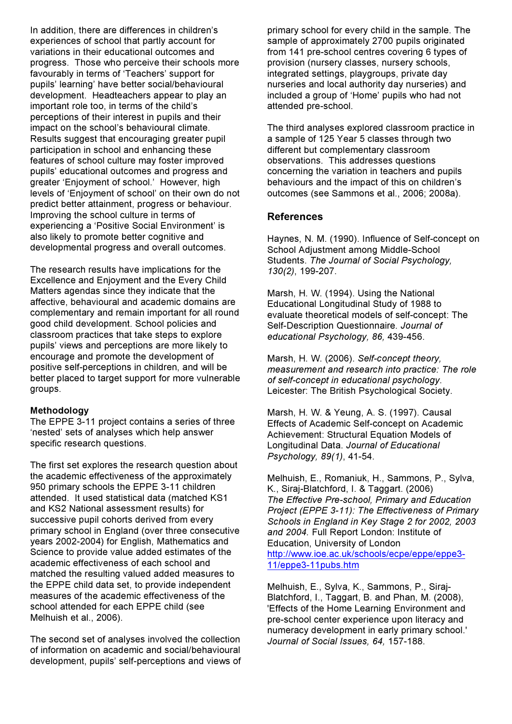In addition, there are differences in children's experiences of school that partly account for variations in their educational outcomes and progress. Those who perceive their schools more favourably in terms of 'Teachers' support for pupils' learning' have better social/behavioural development. Headteachers appear to play an important role too, in terms of the child's perceptions of their interest in pupils and their impact on the school's behavioural climate. Results suggest that encouraging greater pupil participation in school and enhancing these features of school culture may foster improved pupils' educational outcomes and progress and greater 'Enjoyment of school.' However, high levels of 'Enjoyment of school' on their own do not predict better attainment, progress or behaviour. Improving the school culture in terms of experiencing a 'Positive Social Environment' is also likely to promote better cognitive and developmental progress and overall outcomes.

The research results have implications for the Excellence and Enjoyment and the Every Child Matters agendas since they indicate that the affective, behavioural and academic domains are complementary and remain important for all round good child development. School policies and classroom practices that take steps to explore pupils' views and perceptions are more likely to encourage and promote the development of positive self-perceptions in children, and will be better placed to target support for more vulnerable groups.

#### **Methodology**

The EPPE 3-11 project contains a series of three 'nested' sets of analyses which help answer specific research questions.

The first set explores the research question about the academic effectiveness of the approximately 950 primary schools the EPPE 3-11 children attended. It used statistical data (matched KS1 and KS2 National assessment results) for successive pupil cohorts derived from every primary school in England (over three consecutive years 2002-2004) for English, Mathematics and Science to provide value added estimates of the academic effectiveness of each school and matched the resulting valued added measures to the EPPE child data set, to provide independent measures of the academic effectiveness of the school attended for each EPPE child (see Melhuish et al., 2006).

The second set of analyses involved the collection of information on academic and social/behavioural development, pupils' self-perceptions and views of

primary school for every child in the sample. The sample of approximately 2700 pupils originated from 141 pre-school centres covering 6 types of provision (nursery classes, nursery schools, integrated settings, playgroups, private day nurseries and local authority day nurseries) and included a group of 'Home' pupils who had not attended pre-school.

The third analyses explored classroom practice in a sample of 125 Year 5 classes through two different but complementary classroom observations. This addresses questions concerning the variation in teachers and pupils behaviours and the impact of this on children's outcomes (see Sammons et al., 2006; 2008a).

#### **References**

Haynes, N. M. (1990). Influence of Self-concept on School Adjustment among Middle-School Students. *The Journal of Social Psychology, 130(2)*, 199-207.

Marsh, H. W. (1994). Using the National Educational Longitudinal Study of 1988 to evaluate theoretical models of self-concept: The Self-Description Questionnaire. *Journal of educational Psychology, 86,* 439-456.

Marsh, H. W. (2006). *Self-concept theory, measurement and research into practice: The role of self-concept in educational psychology*. Leicester: The British Psychological Society.

Marsh, H. W. & Yeung, A. S. (1997). Causal Effects of Academic Self-concept on Academic Achievement: Structural Equation Models of Longitudinal Data. *Journal of Educational Psychology, 89(1)*, 41-54.

Melhuish, E., Romaniuk, H., Sammons, P., Sylva, K., Siraj-Blatchford, I. & Taggart. (2006) *The Effective Pre-school, Primary and Education Project (EPPE 3-11): The Effectiveness of Primary Schools in England in Key Stage 2 for 2002, 2003 and 2004.* Full Report London: Institute of Education, University of London http://www.ioe.ac.uk/schools/ecpe/eppe/eppe3- 11/eppe3-11pubs.htm

Melhuish, E., Sylva, K., Sammons, P., Siraj-Blatchford, I., Taggart, B. and Phan, M. (2008), 'Effects of the Home Learning Environment and pre-school center experience upon literacy and numeracy development in early primary school.' *Journal of Social Issues, 64,* 157-188.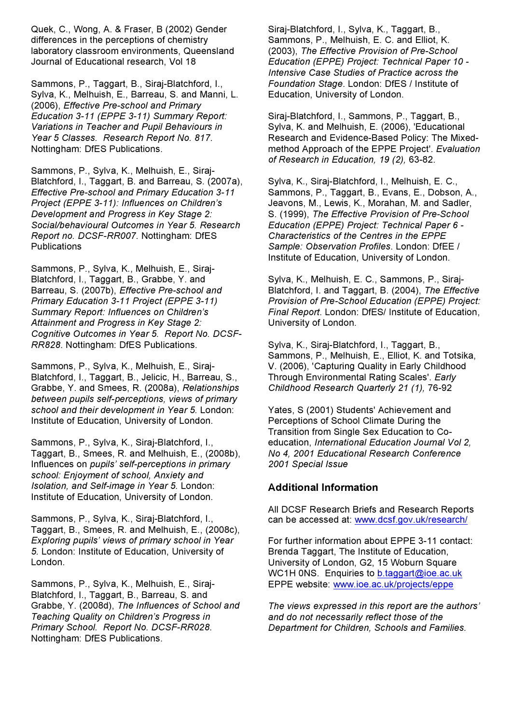Quek, C., Wong, A. & Fraser, B (2002) Gender differences in the perceptions of chemistry laboratory classroom environments, Queensland Journal of Educational research, Vol 18

Sammons, P., Taggart, B., Siraj-Blatchford, I., Sylva, K., Melhuish, E., Barreau, S. and Manni, L. (2006), *Effective Pre-school and Primary Education 3-11 (EPPE 3-11) Summary Report: Variations in Teacher and Pupil Behaviours in Year 5 Classes. Research Report No. 817*. Nottingham: DfES Publications.

Sammons, P., Sylva, K., Melhuish, E., Siraj-Blatchford, I., Taggart, B. and Barreau, S. (2007a), *Effective Pre-school and Primary Education 3-11 Project (EPPE 3-11): Influences on Children's Development and Progress in Key Stage 2: Social/behavioural Outcomes in Year 5. Research Report no. DCSF-RR007*. Nottingham: DfES **Publications** 

Sammons, P., Sylva, K., Melhuish, E., Siraj-Blatchford, I., Taggart, B., Grabbe, Y. and Barreau, S. (2007b), *Effective Pre-school and Primary Education 3-11 Project (EPPE 3-11) Summary Report: Influences on Children's Attainment and Progress in Key Stage 2: Cognitive Outcomes in Year 5. Report No. DCSF-RR828*. Nottingham: DfES Publications.

Sammons, P., Sylva, K., Melhuish, E., Siraj-Blatchford, I., Taggart, B., Jelicic, H., Barreau, S., Grabbe, Y. and Smees, R. (2008a), *Relationships between pupils self-perceptions, views of primary school and their development in Year 5.* London: Institute of Education, University of London.

Sammons, P., Sylva, K., Siraj-Blatchford, I., Taggart, B., Smees, R. and Melhuish, E., (2008b), Influences on *pupils' self-perceptions in primary school: Enjoyment of school, Anxiety and Isolation, and Self-image in Year 5.* London: Institute of Education, University of London.

Sammons, P., Sylva, K., Siraj-Blatchford, I., Taggart, B., Smees, R. and Melhuish, E., (2008c), *Exploring pupils' views of primary school in Year 5.* London: Institute of Education, University of London.

Sammons, P., Sylva, K., Melhuish, E., Siraj-Blatchford, I., Taggart, B., Barreau, S. and Grabbe, Y. (2008d), *The Influences of School and Teaching Quality on Children's Progress in Primary School. Report No. DCSF-RR028*. Nottingham: DfES Publications.

Siraj-Blatchford, I., Sylva, K., Taggart, B., Sammons, P., Melhuish, E. C. and Elliot, K. (2003), *The Effective Provision of Pre-School Education (EPPE) Project: Technical Paper 10 - Intensive Case Studies of Practice across the Foundation Stage*. London: DfES / Institute of Education, University of London.

Siraj-Blatchford, I., Sammons, P., Taggart, B., Sylva, K. and Melhuish, E. (2006), 'Educational Research and Evidence-Based Policy: The Mixedmethod Approach of the EPPE Project'. *Evaluation of Research in Education, 19 (2),* 63-82.

Sylva, K., Siraj-Blatchford, I., Melhuish, E. C., Sammons, P., Taggart, B., Evans, E., Dobson, A., Jeavons, M., Lewis, K., Morahan, M. and Sadler, S. (1999), *The Effective Provision of Pre-School Education (EPPE) Project: Technical Paper 6 - Characteristics of the Centres in the EPPE Sample: Observation Profiles*. London: DfEE / Institute of Education, University of London.

Sylva, K., Melhuish, E. C., Sammons, P., Siraj-Blatchford, I. and Taggart, B. (2004), *The Effective Provision of Pre-School Education (EPPE) Project: Final Report*. London: DfES/ Institute of Education, University of London.

Sylva, K., Sirai-Blatchford, I., Taggart, B., Sammons, P., Melhuish, E., Elliot, K. and Totsika, V. (2006), 'Capturing Quality in Early Childhood Through Environmental Rating Scales'. *Early Childhood Research Quarterly 21 (1),* 76-92

Yates, S (2001) Students' Achievement and Perceptions of School Climate During the Transition from Single Sex Education to Coeducation, *International Education Journal Vol 2, No 4, 2001 Educational Research Conference 2001 Special Issue*

# **Additional Information**

All DCSF Research Briefs and Research Reports can be accessed at: www.dcsf.gov.uk/research/

For further information about EPPE 3-11 contact: Brenda Taggart, The Institute of Education, University of London, G2, 15 Woburn Square WC1H 0NS. Enquiries to b.taggart@ioe.ac.uk EPPE website: www.ioe.ac.uk/projects/eppe

*The views expressed in this report are the authors' and do not necessarily reflect those of the Department for Children, Schools and Families.*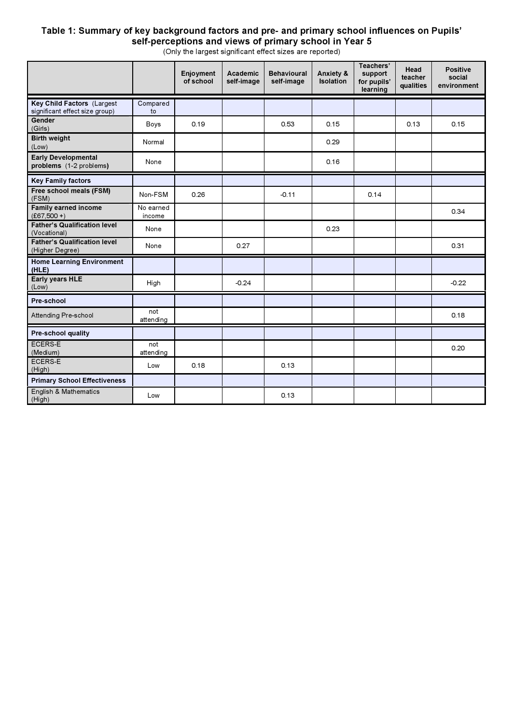#### **Table 1: Summary of key background factors and pre- and primary school influences on Pupils' self-perceptions and views of primary school in Year 5**

(Only the largest significant effect sizes are reported)

|                                                              |                     | Enjoyment<br>of school | <b>Academic</b><br>self-image | <b>Behavioural</b><br>self-image | Anxiety &<br><b>Isolation</b> | Teachers'<br>support<br>for pupils'<br>learning | Head<br>teacher<br>qualities | <b>Positive</b><br>social<br>environment |
|--------------------------------------------------------------|---------------------|------------------------|-------------------------------|----------------------------------|-------------------------------|-------------------------------------------------|------------------------------|------------------------------------------|
| Key Child Factors (Largest<br>significant effect size group) | Compared<br>to      |                        |                               |                                  |                               |                                                 |                              |                                          |
| Gender<br>(Girls)                                            | Boys                | 0.19                   |                               | 0.53                             | 0.15                          |                                                 | 0.13                         | 0.15                                     |
| <b>Birth weight</b><br>(Low)                                 | Normal              |                        |                               |                                  | 0.29                          |                                                 |                              |                                          |
| <b>Early Developmental</b><br>problems (1-2 problems)        | None                |                        |                               |                                  | 0.16                          |                                                 |                              |                                          |
| <b>Key Family factors</b>                                    |                     |                        |                               |                                  |                               |                                                 |                              |                                          |
| Free school meals (FSM)<br>(FSM)                             | Non-FSM             | 0.26                   |                               | $-0.11$                          |                               | 0.14                                            |                              |                                          |
| <b>Family earned income</b><br>$(E67,500 + )$                | No earned<br>income |                        |                               |                                  |                               |                                                 |                              | 0.34                                     |
| <b>Father's Qualification level</b><br>(Vocational)          | None                |                        |                               |                                  | 0.23                          |                                                 |                              |                                          |
| <b>Father's Qualification level</b><br>(Higher Degree)       | None                |                        | 0.27                          |                                  |                               |                                                 |                              | 0.31                                     |
| <b>Home Learning Environment</b><br>(HLE)                    |                     |                        |                               |                                  |                               |                                                 |                              |                                          |
| <b>Early years HLE</b><br>(Low)                              | High                |                        | $-0.24$                       |                                  |                               |                                                 |                              | $-0.22$                                  |
| Pre-school                                                   |                     |                        |                               |                                  |                               |                                                 |                              |                                          |
| Attending Pre-school                                         | not<br>attending    |                        |                               |                                  |                               |                                                 |                              | 0.18                                     |
| Pre-school quality                                           |                     |                        |                               |                                  |                               |                                                 |                              |                                          |
| <b>ECERS-E</b><br>(Medium)                                   | not<br>attending    |                        |                               |                                  |                               |                                                 |                              | 0.20                                     |
| <b>ECERS-E</b><br>(High)                                     | Low                 | 0.18                   |                               | 0.13                             |                               |                                                 |                              |                                          |
| <b>Primary School Effectiveness</b>                          |                     |                        |                               |                                  |                               |                                                 |                              |                                          |
| English & Mathematics<br>(High)                              | Low                 |                        |                               | 0.13                             |                               |                                                 |                              |                                          |